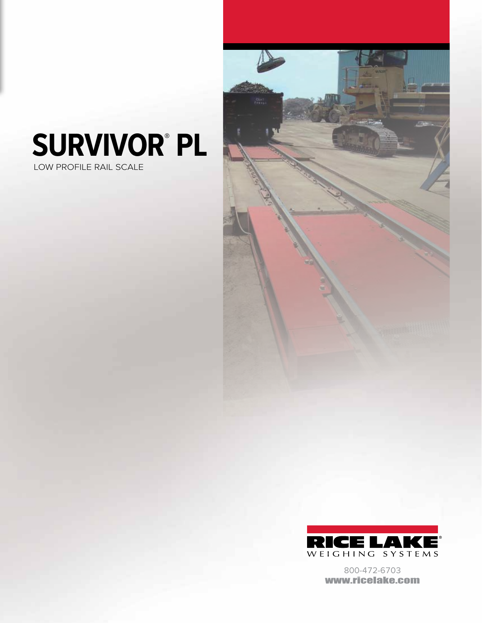## **SURVIVOR® PL**

LOW PROFILE RAIL SCALE





800-472-6703 www.ricelake.com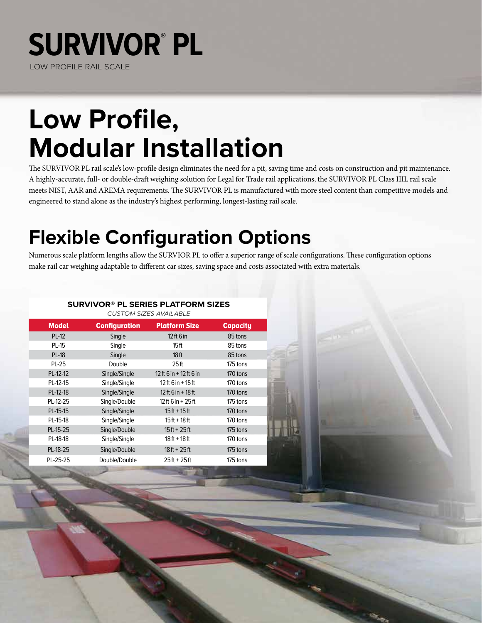### **SURVIVOR® PL** LOW PROFILE RAIL SCALE

## **Low Profile, Modular Installation**

The SURVIVOR PL rail scale's low-profile design eliminates the need for a pit, saving time and costs on construction and pit maintenance. A highly-accurate, full- or double-draft weighing solution for Legal for Trade rail applications, the SURVIVOR PL Class IIIL rail scale meets NIST, AAR and AREMA requirements. The SURVIVOR PL is manufactured with more steel content than competitive models and engineered to stand alone as the industry's highest performing, longest-lasting rail scale.

### **Flexible Configuration Options**

Numerous scale platform lengths allow the SURVIOR PL to offer a superior range of scale configurations. These configuration options make rail car weighing adaptable to different car sizes, saving space and costs associated with extra materials.

### **SURVIVOR® PL SERIES PLATFORM SIZES**

| <b>Model</b> | <b>Configuration</b> | <b>Platform Size</b>    | <b>Capacity</b> |  |
|--------------|----------------------|-------------------------|-----------------|--|
| <b>PL-12</b> | Single               | $12$ ft 6 in            | 85 tons         |  |
| <b>PL-15</b> | Single               | 15 ft                   | 85 tons         |  |
| <b>PL-18</b> | Single               | 18 <sub>ft</sub>        | 85 tons         |  |
| PL-25        | Double               | 25 <sub>ft</sub>        | 175 tons        |  |
| PL-12-12     | Single/Single        | 12 ft 6 in + 12 ft 6 in | 170 tons        |  |
| PL-12-15     | Single/Single        | $12$ ft 6 in + 15 ft    | 170 tons        |  |
| PL-12-18     | Single/Single        | $12$ ft 6 in + 18 ft    | 170 tons        |  |
| PL-12-25     | Single/Double        | 12 ft 6 in + 25 ft      | 175 tons        |  |
| PL-15-15     | Single/Single        | $15ft + 15ft$           | 170 tons        |  |
| PL-15-18     | Single/Single        | 15 ft + 18 ft           | 170 tons        |  |
| PL-15-25     | Single/Double        | $15ft + 25ft$           | 175 tons        |  |
| PL-18-18     | Single/Single        | $18ft + 18ft$           | 170 tons        |  |
| PL-18-25     | Single/Double        | $18ft + 25ft$           | 175 tons        |  |
| PL-25-25     | Double/Double        | $25ft + 25ft$           | 175 tons        |  |
|              |                      |                         |                 |  |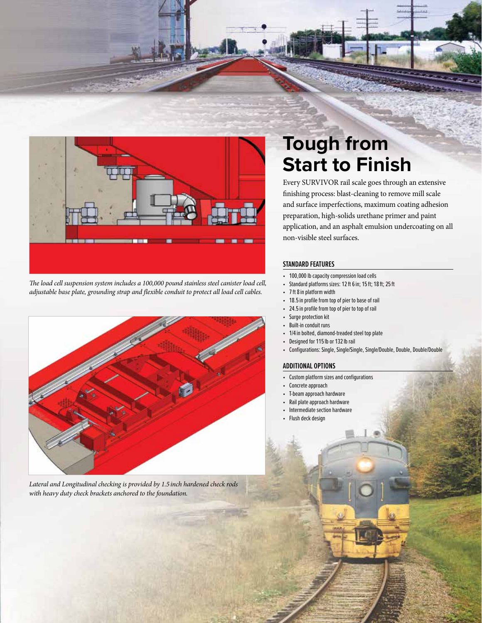

*The load cell suspension system includes a 100,000 pound stainless steel canister load cell, adjustable base plate, grounding strap and flexible conduit to protect all load cell cables.*



*Lateral and Longitudinal checking is provided by 1.5inch hardened check rods with heavy duty check brackets anchored to the foundation.* 

### **Tough from Start to Finish**

Every SURVIVOR rail scale goes through an extensive finishing process: blast-cleaning to remove mill scale and surface imperfections, maximum coating adhesion preparation, high-solids urethane primer and paint application, and an asphalt emulsion undercoating on all non-visible steel surfaces.

#### **STANDARD FEATURES**

- 100,000 lb capacity compression load cells
- Standard platforms sizes: 12 ft 6 in; 15 ft; 18 ft; 25 ft
- 7 ft 8 in platform width
- 18.5 in profile from top of pier to base of rail
- 24.5 in profile from top of pier to top of rail
- Surge protection kit
- Built-in conduit runs
- 1/4 in bolted, diamond-treaded steel top plate
- Designed for 115 lb or 132 lb rail
- Configurations: Single, Single/Single, Single/Double, Double, Double/Double

#### **ADDITIONAL OPTIONS**

- Custom platform sizes and configurations
- Concrete approach
- T-beam approach hardware
- Rail plate approach hardware • Intermediate section hardware
- Flush deck design